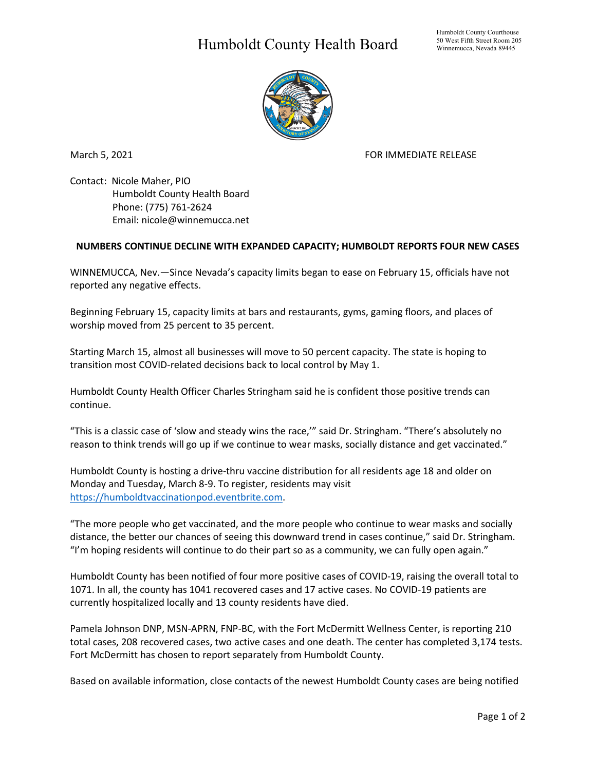## Humboldt County Health Board



March 5, 2021 **FOR IMMEDIATE RELEASE** 

Contact: Nicole Maher, PIO Humboldt County Health Board Phone: (775) 761-2624 Email: nicole@winnemucca.net

## **NUMBERS CONTINUE DECLINE WITH EXPANDED CAPACITY; HUMBOLDT REPORTS FOUR NEW CASES**

WINNEMUCCA, Nev.—Since Nevada's capacity limits began to ease on February 15, officials have not reported any negative effects.

Beginning February 15, capacity limits at bars and restaurants, gyms, gaming floors, and places of worship moved from 25 percent to 35 percent.

Starting March 15, almost all businesses will move to 50 percent capacity. The state is hoping to transition most COVID-related decisions back to local control by May 1.

Humboldt County Health Officer Charles Stringham said he is confident those positive trends can continue.

"This is a classic case of 'slow and steady wins the race,'" said Dr. Stringham. "There's absolutely no reason to think trends will go up if we continue to wear masks, socially distance and get vaccinated."

Humboldt County is hosting a drive-thru vaccine distribution for all residents age 18 and older on Monday and Tuesday, March 8-9. To register, residents may visit [https://humboldtvaccinationpod.eventbrite.com.](https://humboldtvaccinationpod.eventbrite.com/)

"The more people who get vaccinated, and the more people who continue to wear masks and socially distance, the better our chances of seeing this downward trend in cases continue," said Dr. Stringham. "I'm hoping residents will continue to do their part so as a community, we can fully open again."

Humboldt County has been notified of four more positive cases of COVID-19, raising the overall total to 1071. In all, the county has 1041 recovered cases and 17 active cases. No COVID-19 patients are currently hospitalized locally and 13 county residents have died.

Pamela Johnson DNP, MSN-APRN, FNP-BC, with the Fort McDermitt Wellness Center, is reporting 210 total cases, 208 recovered cases, two active cases and one death. The center has completed 3,174 tests. Fort McDermitt has chosen to report separately from Humboldt County.

Based on available information, close contacts of the newest Humboldt County cases are being notified